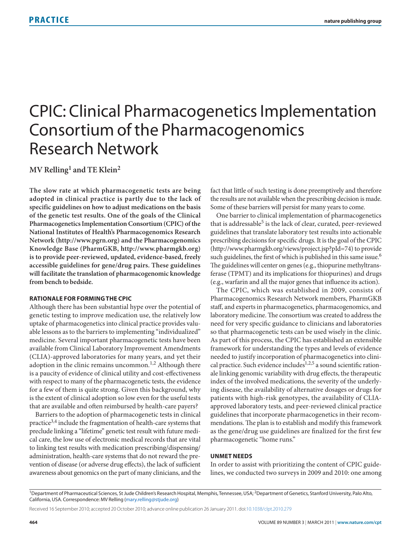# CPIC: Clinical Pharmacogenetics Implementation Consortium of the Pharmacogenomics Research Network

**MV Relling1 and TE Klein2**

**The slow rate at which pharmacogenetic tests are being adopted in clinical practice is partly due to the lack of specific guidelines on how to adjust medications on the basis of the genetic test results. One of the goals of the Clinical Pharmacogenetics Implementation Consortium (CPIC) of the National Institutes of Health's Pharmacogenomics Research Network (http://www.pgrn.org) and the Pharmacogenomics Knowledge Base (PharmGKB, http://www.pharmgkb.org) is to provide peer-reviewed, updated, evidence-based, freely accessible guidelines for gene/drug pairs. These guidelines will facilitate the translation of pharmacogenomic knowledge from bench to bedside.**

### **Rationale For Forming the Cpic**

Although there has been substantial hype over the potential of genetic testing to improve medication use, the relatively low uptake of pharmacogenetics into clinical practice provides valuable lessons as to the barriers to implementing "individualized" medicine. Several important pharmacogenetic tests have been available from Clinical Laboratory Improvement Amendments (CLIA)-approved laboratories for many years, and yet their adoption in the clinic remains uncommon.<sup>1,2</sup> Although there is a paucity of evidence of clinical utility and cost-effectiveness with respect to many of the pharmacogenetic tests, the evidence for a few of them is quite strong. Given this background, why is the extent of clinical adoption so low even for the useful tests that are available and often reimbursed by health-care payers?

Barriers to the adoption of pharmacogenetic tests in clinical practice<sup>3,4</sup> include the fragmentation of health-care systems that preclude linking a "lifetime" genetic test result with future medical care, the low use of electronic medical records that are vital to linking test results with medication prescribing/dispensing/ administration, health-care systems that do not reward the prevention of disease (or adverse drug effects), the lack of sufficient awareness about genomics on the part of many clinicians, and the fact that little of such testing is done preemptively and therefore the results are not available when the prescribing decision is made. Some of these barriers will persist for many years to come.

One barrier to clinical implementation of pharmacogenetics that is addressable<sup>5</sup> is the lack of clear, curated, peer-reviewed guidelines that translate laboratory test results into actionable prescribing decisions for specific drugs. It is the goal of the CPIC (http://www.pharmgkb.org/views/project.jsp?pId=74) to provide such guidelines, the first of which is published in this same issue.<sup>6</sup> The guidelines will center on genes (e.g., thiopurine methyltransferase (TPMT) and its implications for thiopurines) and drugs (e.g., warfarin and all the major genes that influence its action).

The CPIC, which was established in 2009, consists of Pharmacogenomics Research Network members, PharmGKB staff, and experts in pharmacogenetics, pharmacogenomics, and laboratory medicine. The consortium was created to address the need for very specific guidance to clinicians and laboratories so that pharmacogenetic tests can be used wisely in the clinic. As part of this process, the CPIC has established an extensible framework for understanding the types and levels of evidence needed to justify incorporation of pharmacogenetics into clinical practice. Such evidence includes<sup>1,2,5</sup> a sound scientific rationale linking genomic variability with drug effects, the therapeutic index of the involved medications, the severity of the underlying disease, the availability of alternative dosages or drugs for patients with high-risk genotypes, the availability of CLIAapproved laboratory tests, and peer-reviewed clinical practice guidelines that incorporate pharmacogenetics in their recommendations. The plan is to establish and modify this framework as the gene/drug use guidelines are finalized for the first few pharmacogenetic "home runs."

## **Unmet Needs**

In order to assist with prioritizing the content of CPIC guidelines, we conducted two surveys in 2009 and 2010: one among

<sup>&</sup>lt;sup>1</sup>Department of Pharmaceutical Sciences, St Jude Children's Research Hospital, Memphis, Tennessee, USA; <sup>2</sup>Department of Genetics, Stanford University, Palo Alto, California, USA. Correspondence: MV Relling [\(mary.relling@stjude.org\)](mailto:mary.relling@stjude.org)

Received 16 September 2010; accepted 20 October 2010; advance online publication 26 January 2011. do[i:10.1038/clpt.2010.279](http://www.nature.com/doifinder/10.1038/clpt.2010.279)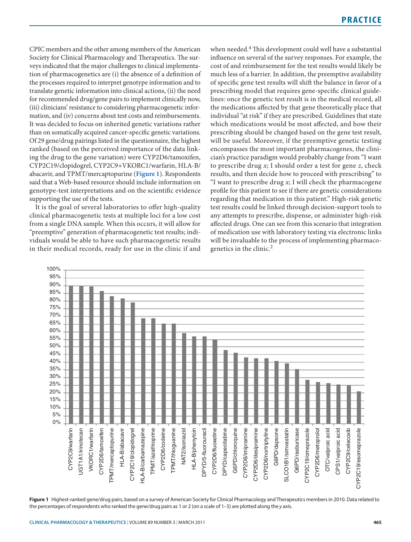CPIC members and the other among members of the American Society for Clinical Pharmacology and Therapeutics. The surveys indicated that the major challenges to clinical implementation of pharmacogenetics are (i) the absence of a definition of the processes required to interpret genotype information and to translate genetic information into clinical actions, (ii) the need for recommended drug/gene pairs to implement clinically now, (iii) clinicians' resistance to considering pharmacogenetic information, and (iv) concerns about test costs and reimbursements. It was decided to focus on inherited genetic variations rather than on somatically acquired cancer-specific genetic variations. Of 29 gene/drug pairings listed in the questionnaire, the highest ranked (based on the perceived importance of the data linking the drug to the gene variation) were CYP2D6/tamoxifen, CYP2C19/clopidogrel, CYP2C9+VKORC1/warfarin, HLA-B/ abacavir, and TPMT/mercaptopurine (**Figure 1**). Respondents said that a Web-based resource should include information on genotype-test interpretations and on the scientific evidence supporting the use of the tests.

It is the goal of several laboratories to offer high-quality clinical pharmacogenetic tests at multiple loci for a low cost from a single DNA sample. When this occurs, it will allow for "preemptive" generation of pharmacogenetic test results; individuals would be able to have such pharmacogenetic results in their medical records, ready for use in the clinic if and

when needed.<sup>4</sup> This development could well have a substantial influence on several of the survey responses. For example, the cost of and reimbursement for the test results would likely be much less of a barrier. In addition, the preemptive availability of specific gene test results will shift the balance in favor of a prescribing model that requires gene-specific clinical guidelines: once the genetic test result is in the medical record, all the medications affected by that gene theoretically place that individual "at risk" if they are prescribed. Guidelines that state which medications would be most affected, and how their prescribing should be changed based on the gene test result, will be useful. Moreover, if the preemptive genetic testing encompasses the most important pharmacogenes, the clinician's practice paradigm would probably change from "I want to prescribe drug *x*; I should order a test for gene *z*, check results, and then decide how to proceed with prescribing" to "I want to prescribe drug *x*; I will check the pharmacogene profile for this patient to see if there are genetic considerations regarding that medication in this patient." High-risk genetic test results could be linked through decision-support tools to any attempts to prescribe, dispense, or administer high-risk affected drugs. One can see from this scenario that integration of medication use with laboratory testing via electronic links will be invaluable to the process of implementing pharmacogenetics in the clinic.<sup>2</sup>



**Figure 1** Highest-ranked gene/drug pairs, based on a survey of American Society for Clinical Pharmacology and Therapeutics members in 2010. Data related to the percentages of respondents who ranked the gene/drug pairs as 1 or 2 (on a scale of 1–5) are plotted along the *y* axis.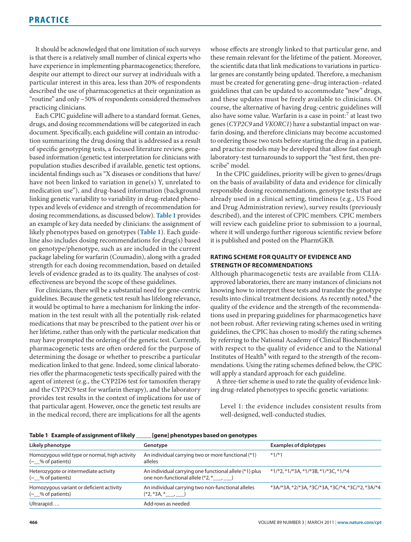It should be acknowledged that one limitation of such surveys is that there is a relatively small number of clinical experts who have experience in implementing pharmacogenetics; therefore, despite our attempt to direct our survey at individuals with a particular interest in this area, less than 20% of respondents described the use of pharmacogenetics at their organization as "routine" and only ~50% of respondents considered themselves practicing clinicians.

Each CPIC guideline will adhere to a standard format. Genes, drugs, and dosing recommendations will be categorized in each document. Specifically, each guideline will contain an introduction summarizing the drug dosing that is addressed as a result of specific genotyping tests, a focused literature review, genebased information (genetic test interpretation for clinicians with population studies described if available, genetic test options, incidental findings such as "X diseases or conditions that have/ have not been linked to variation in gene(s) Y, unrelated to medication use"), and drug-based information (background linking genetic variability to variability in drug-related phenotypes and levels of evidence and strength of recommendation for dosing recommendations, as discussed below). **Table 1** provides an example of key data needed by clinicians: the assignment of likely phenotypes based on genotypes (**Table 1**). Each guideline also includes dosing recommendations for drug(s) based on genotype/phenotype, such as are included in the current package labeling for warfarin (Coumadin), along with a graded strength for each dosing recommendation, based on detailed levels of evidence graded as to its quality. The analyses of costeffectiveness are beyond the scope of these guidelines.

For clinicians, there will be a substantial need for gene-centric guidelines. Because the genetic test result has lifelong relevance, it would be optimal to have a mechanism for linking the information in the test result with all the potentially risk-related medications that may be prescribed to the patient over his or her lifetime, rather than only with the particular medication that may have prompted the ordering of the genetic test. Currently, pharmacogenetic tests are often ordered for the purpose of determining the dosage or whether to prescribe a particular medication linked to that gene. Indeed, some clinical laboratories offer the pharmacogenetic tests specifically paired with the agent of interest (e.g., the CYP2D6 test for tamoxifen therapy and the CYP2C9 test for warfarin therapy), and the laboratory provides test results in the context of implications for use of that particular agent. However, once the genetic test results are in the medical record, there are implications for all the agents whose effects are strongly linked to that particular gene, and these remain relevant for the lifetime of the patient. Moreover, the scientific data that link medications to variations in particular genes are constantly being updated. Therefore, a mechanism must be created for generating gene–drug interaction–related guidelines that can be updated to accommodate "new" drugs, and these updates must be freely available to clinicians. Of course, the alternative of having drug-centric guidelines will also have some value. Warfarin is a case in point:<sup>7</sup> at least two genes (*CYP2C9* and *VKORC1*) have a substantial impact on warfarin dosing, and therefore clinicians may become accustomed to ordering those two tests before starting the drug in a patient, and practice models may be developed that allow fast enough laboratory-test turnarounds to support the "test first, then prescribe" model.

In the CPIC guidelines, priority will be given to genes/drugs on the basis of availability of data and evidence for clinically responsible dosing recommendations, genotype tests that are already used in a clinical setting, timeliness (e.g., US Food and Drug Administration review), survey results (previously described), and the interest of CPIC members. CPIC members will review each guideline prior to submission to a journal, where it will undergo further rigorous scientific review before it is published and posted on the PharmGKB.

# **Rating Scheme For Quality of Evidence and Strength of Recommendations**

Although pharmacogenetic tests are available from CLIAapproved laboratories, there are many instances of clinicians not knowing how to interpret these tests and translate the genotype results into clinical treatment decisions. As recently noted,<sup>8</sup> the quality of the evidence and the strength of the recommendations used in preparing guidelines for pharmacogenetics have not been robust. After reviewing rating schemes used in writing guidelines, the CPIC has chosen to modify the rating schemes by referring to the National Academy of Clinical Biochemistry<sup>8</sup> with respect to the quality of evidence and to the National Institutes of Health $9$  with regard to the strength of the recommendations. Using the rating schemes defined below, the CPIC will apply a standard approach for each guideline.

A three-tier scheme is used to rate the quality of evidence linking drug-related phenotypes to specific genetic variations:

Level 1: the evidence includes consistent results from well-designed, well-conducted studies.

**Table 1 Example of assignment of likely \_\_\_\_\_ [gene] phenotypes based on genotypes**

| Likely phenotype                                                       | Genotype                                                                                         | <b>Examples of diplotypes</b>                    |
|------------------------------------------------------------------------|--------------------------------------------------------------------------------------------------|--------------------------------------------------|
| Homozygous wild type or normal, high activity<br>$\sim$ % of patients) | An individual carrying two or more functional (*1)<br>alleles                                    | $*1/*1$                                          |
| Heterozygote or intermediate activity<br>$\sim$ % of patients)         | An individual carrying one functional allele (*1) plus<br>one non-functional allele $(*2, * , )$ | *1/*2, *1/*3A, *1/*3B, *1/*3C, *1/*4             |
| Homozygous variant or deficient activity<br>$\sim$ % of patients)      | An individual carrying two non-functional alleles<br>$(*2, *3A, * , , )$                         | *3A/*3A, *2/*3A, *3C/*3A, *3C/*4, *3C/*2, *3A/*4 |
| Ultrarapid                                                             | Add rows as needed                                                                               |                                                  |